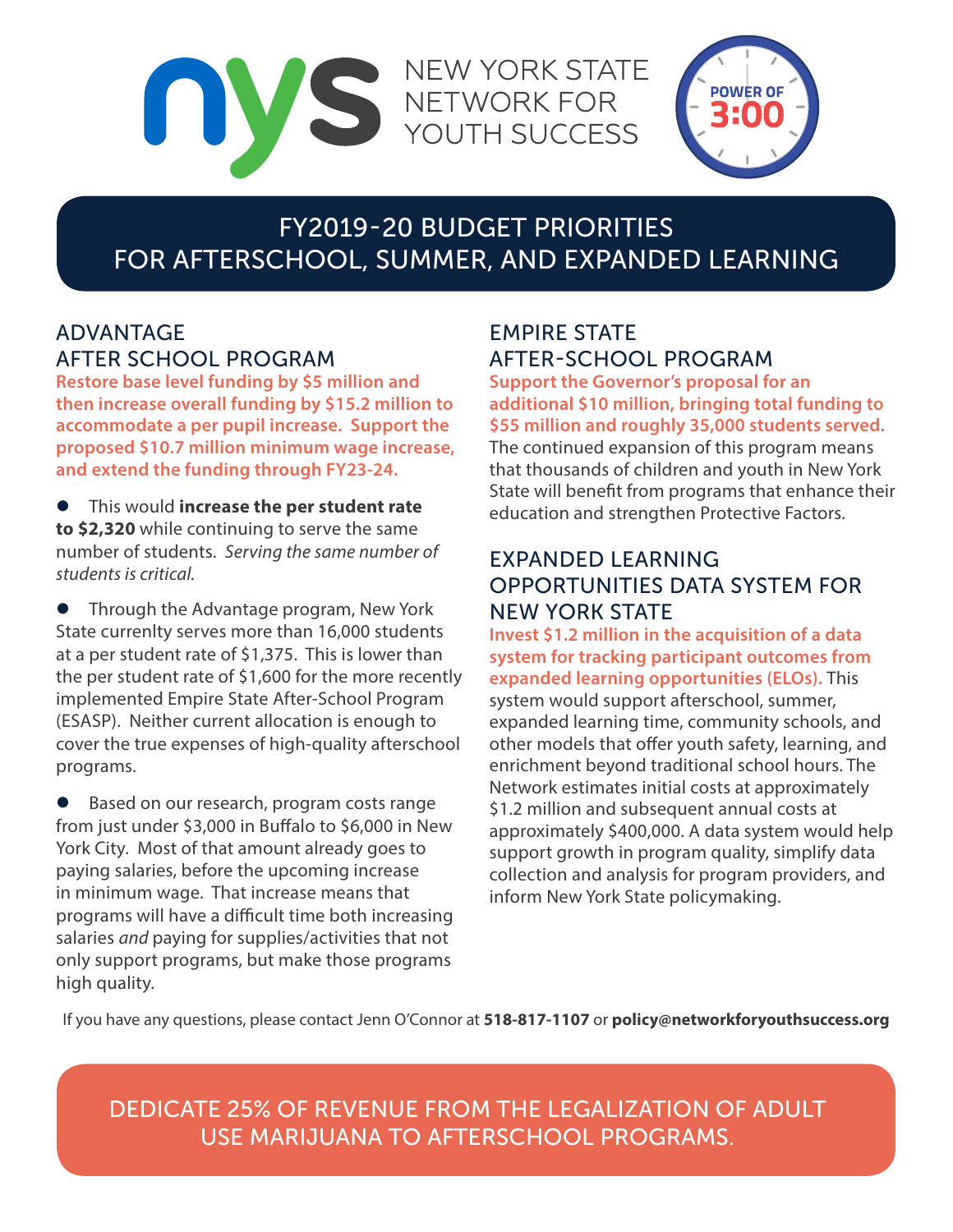

**POWER OF** 

# FY2019-20 BUDGET PRIORITIES FOR AFTERSCHOOL, SUMMER, AND EXPANDED LEARNING

**NEW YORK STATE** 

## ADVANTAGE AFTER SCHOOL PROGRAM

**Restore base level funding by \$5 million and then increase overall funding by \$15.2 million to accommodate a per pupil increase. Support the proposed \$10.7 million minimum wage increase, and extend the funding through FY23-24.** 

 $\bullet$  This would **increase the per student rate to \$2,320** while continuing to serve the same number of students. *Serving the same number of students is critical.*

**•** Through the Advantage program, New York State currenlty serves more than 16,000 students at a per student rate of \$1,375. This is lower than the per student rate of \$1,600 for the more recently implemented Empire State After-School Program (ESASP). Neither current allocation is enough to cover the true expenses of high-quality afterschool programs.

Based on our research, program costs range from just under \$3,000 in Buffalo to \$6,000 in New York City. Most of that amount already goes to paying salaries, before the upcoming increase in minimum wage. That increase means that programs will have a difficult time both increasing salaries *and* paying for supplies/activities that not only support programs, but make those programs high quality.

### EMPIRE STATE AFTER-SCHOOL PROGRAM

**Support the Governor's proposal for an additional \$10 million, bringing total funding to \$55 million and roughly 35,000 students served.** 

The continued expansion of this program means that thousands of children and youth in New York State will benefit from programs that enhance their education and strengthen Protective Factors.

### EXPANDED LEARNING OPPORTUNITIES DATA SYSTEM FOR NEW YORK STATE

**Invest \$1.2 million in the acquisition of a data system for tracking participant outcomes from expanded learning opportunities (ELOs).** This system would support afterschool, summer, expanded learning time, community schools, and other models that offer youth safety, learning, and enrichment beyond traditional school hours. The Network estimates initial costs at approximately \$1.2 million and subsequent annual costs at approximately \$400,000. A data system would help support growth in program quality, simplify data collection and analysis for program providers, and inform New York State policymaking.

If you have any questions, please contact Jenn O'Connor at **518-817-1107** or **policy@networkforyouthsuccess.org**

DEDICATE 25% OF REVENUE FROM THE LEGALIZATION OF ADULT USE MARIJUANA TO AFTERSCHOOL PROGRAMS.